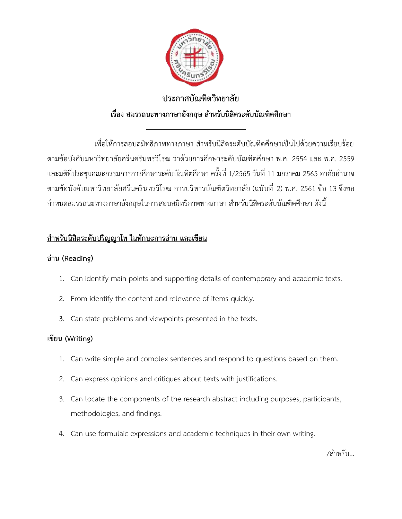

# **ประกาศบัณฑิตวิทยาลัย เรื่อง สมรรถนะทางภาษาอังกฤษ สำหรับนิสิตระดับบัณฑิตศึกษา**

 $\overline{a}$ 

เพื่อให้การสอบสมิทธิภาพทางภาษา สำหรับนิสิตระดับบัณฑิตศึกษาเป็นไปด้วยความเรียบร้อย ตามช้อบังคับมหาวิทยาลัยศรีนครินทรวิโรฒ ว่าด้วยการศึกษาระดับบัณฑิตศึกษา พ.ศ. 2554 และ พ.ศ. 2559 และมติที่ประชุมคณะกรรมการการศึกษาระดับบัณฑิตศึกษา ครั้งที่ 1/2565 วันที่11 มกราคม 2565 อาศัยอำนาจ ตามข้อบังคับมหาวิทยาลัยศรีนครินทรวิโรฒ การบริหารบัณฑิตวิทยาลัย (ฉบับที่ 2) พ.ศ. 2561 ข้อ 13 จึงขอ กำหนดสมรรถนะทางภาษาอังกฤษในการสอบสมิทธิภาพทางภาษา สำหรับนิสิตระดับบัณฑิตศึกษา ดังนี้

# **สำหรับนิสิตระดับปริญญาโท ในทักษะการอ่าน และเขียน**

## **อ่าน (Reading)**

- 1. Can identify main points and supporting details of contemporary and academic texts.
- 2. From identify the content and relevance of items quickly.
- 3. Can state problems and viewpoints presented in the texts.

### **เขียน (Writing)**

- 1. Can write simple and complex sentences and respond to questions based on them.
- 2. Can express opinions and critiques about texts with justifications.
- 3. Can locate the components of the research abstract including purposes, participants, methodologies, and findings.
- 4. Can use formulaic expressions and academic techniques in their own writing.

/สำหรับ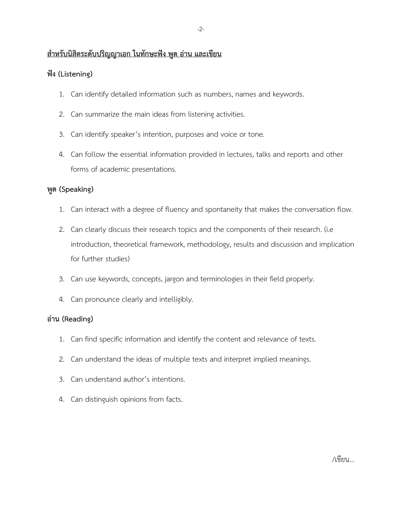### **สำหรับนิสิตระดับปริญญาเอก ในทักษะฟัง พูด อ่าน และเขียน**

### **ฟัง (Listening)**

- 1. Can identify detailed information such as numbers, names and keywords.
- 2. Can summarize the main ideas from listening activities.
- 3. Can identify speaker's intention, purposes and voice or tone.
- 4. Can follow the essential information provided in lectures, talks and reports and other forms of academic presentations.

### **พูด (Speaking)**

- 1. Can interact with a degree of fluency and spontaneity that makes the conversation flow.
- 2. Can clearly discuss their research topics and the components of their research. (i.e introduction, theoretical framework, methodology, results and discussion and implication for further studies)
- 3. Can use keywords, concepts, jargon and terminologies in their field properly.
- 4. Can pronounce clearly and intelligibly.

#### **อ่าน (Reading)**

- 1. Can find specific information and identify the content and relevance of texts.
- 2. Can understand the ideas of multiple texts and interpret implied meanings.
- 3. Can understand author's intentions.
- 4. Can distinguish opinions from facts.